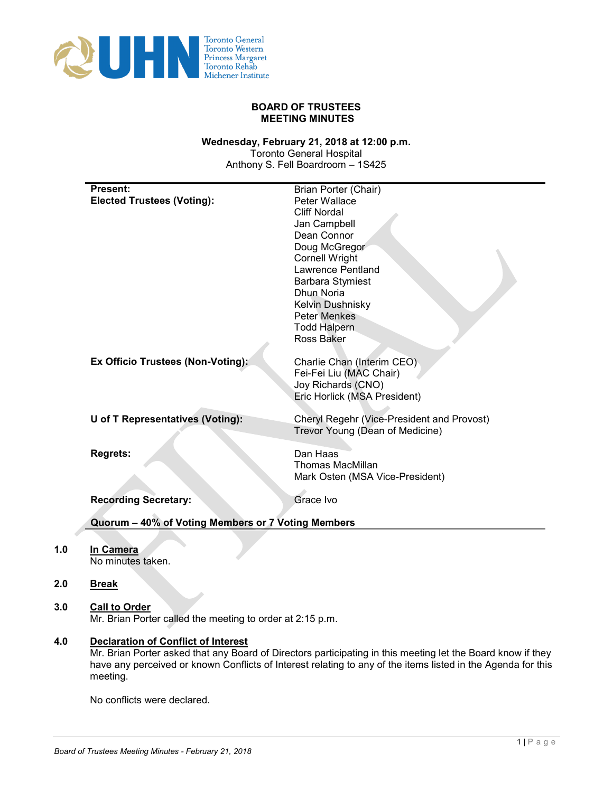

# **BOARD OF TRUSTEES MEETING MINUTES**

#### **Wednesday, February 21, 2018 at 12:00 p.m.**

Toronto General Hospital Anthony S. Fell Boardroom – 1S425

# **2.0 Break**

**1.0 In Camera**

**3.0 Call to Order**

Mr. Brian Porter called the meeting to order at 2:15 p.m.

**4.0 Declaration of Conflict of Interest**

Mr. Brian Porter asked that any Board of Directors participating in this meeting let the Board know if they have any perceived or known Conflicts of Interest relating to any of the items listed in the Agenda for this meeting.

No conflicts were declared.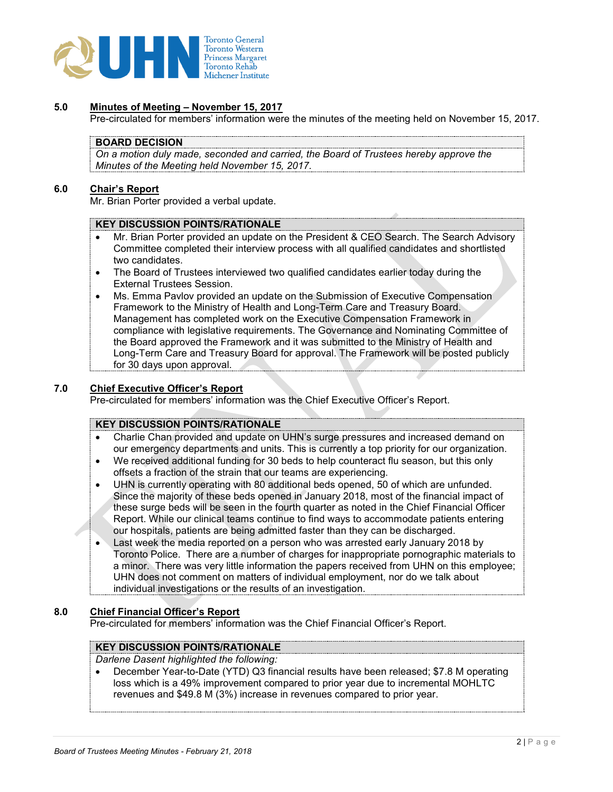

# **5.0 Minutes of Meeting – November 15, 2017**

Pre-circulated for members' information were the minutes of the meeting held on November 15, 2017.

# **BOARD DECISION**

*On a motion duly made, seconded and carried, the Board of Trustees hereby approve the Minutes of the Meeting held November 15, 2017.*

#### **6.0 Chair's Report**

Mr. Brian Porter provided a verbal update.

#### **KEY DISCUSSION POINTS/RATIONALE**

- Mr. Brian Porter provided an update on the President & CEO Search. The Search Advisory Committee completed their interview process with all qualified candidates and shortlisted two candidates.
- The Board of Trustees interviewed two qualified candidates earlier today during the External Trustees Session.
- Ms. Emma Pavlov provided an update on the Submission of Executive Compensation Framework to the Ministry of Health and Long-Term Care and Treasury Board. Management has completed work on the Executive Compensation Framework in compliance with legislative requirements. The Governance and Nominating Committee of the Board approved the Framework and it was submitted to the Ministry of Health and Long-Term Care and Treasury Board for approval. The Framework will be posted publicly for 30 days upon approval.

# **7.0 Chief Executive Officer's Report**

Pre-circulated for members' information was the Chief Executive Officer's Report.

# **KEY DISCUSSION POINTS/RATIONALE**

- Charlie Chan provided and update on UHN's surge pressures and increased demand on our emergency departments and units. This is currently a top priority for our organization.
- We received additional funding for 30 beds to help counteract flu season, but this only offsets a fraction of the strain that our teams are experiencing.
- UHN is currently operating with 80 additional beds opened, 50 of which are unfunded. Since the majority of these beds opened in January 2018, most of the financial impact of these surge beds will be seen in the fourth quarter as noted in the Chief Financial Officer Report. While our clinical teams continue to find ways to accommodate patients entering our hospitals, patients are being admitted faster than they can be discharged.
- Last week the media reported on a person who was arrested early January 2018 by Toronto Police. There are a number of charges for inappropriate pornographic materials to a minor. There was very little information the papers received from UHN on this employee; UHN does not comment on matters of individual employment, nor do we talk about individual investigations or the results of an investigation.

#### **8.0 Chief Financial Officer's Report**

Pre-circulated for members' information was the Chief Financial Officer's Report.

# **KEY DISCUSSION POINTS/RATIONALE**

*Darlene Dasent highlighted the following:* 

• December Year-to-Date (YTD) Q3 financial results have been released; \$7.8 M operating loss which is a 49% improvement compared to prior year due to incremental MOHLTC revenues and \$49.8 M (3%) increase in revenues compared to prior year.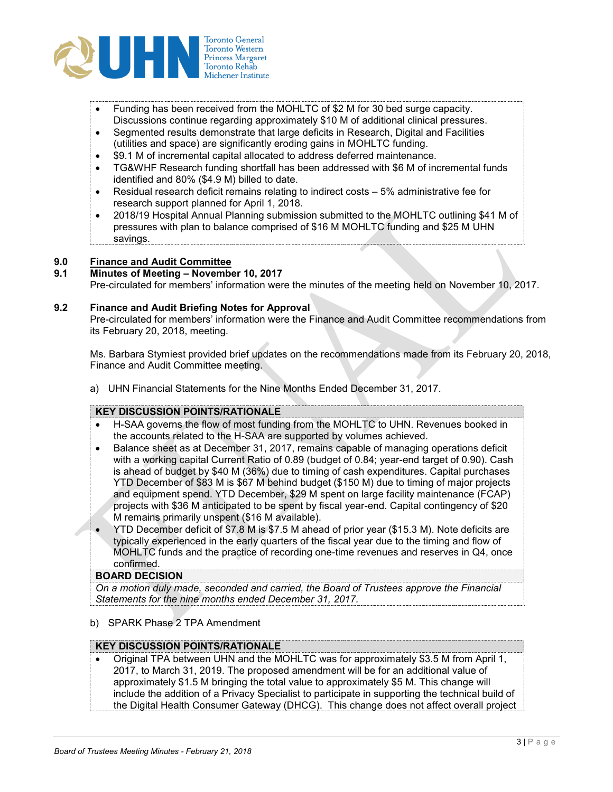

- Funding has been received from the MOHLTC of \$2 M for 30 bed surge capacity. Discussions continue regarding approximately \$10 M of additional clinical pressures.
- Segmented results demonstrate that large deficits in Research, Digital and Facilities (utilities and space) are significantly eroding gains in MOHLTC funding.
- \$9.1 M of incremental capital allocated to address deferred maintenance.
- TG&WHF Research funding shortfall has been addressed with \$6 M of incremental funds identified and 80% (\$4.9 M) billed to date.
- Residual research deficit remains relating to indirect costs 5% administrative fee for research support planned for April 1, 2018.
- 2018/19 Hospital Annual Planning submission submitted to the MOHLTC outlining \$41 M of pressures with plan to balance comprised of \$16 M MOHLTC funding and \$25 M UHN savings.

# **9.0 Finance and Audit Committee**

# **9.1 Minutes of Meeting – November 10, 2017**

Pre-circulated for members' information were the minutes of the meeting held on November 10, 2017.

# **9.2 Finance and Audit Briefing Notes for Approval**

Pre-circulated for members' information were the Finance and Audit Committee recommendations from its February 20, 2018, meeting.

Ms. Barbara Stymiest provided brief updates on the recommendations made from its February 20, 2018, Finance and Audit Committee meeting.

a) UHN Financial Statements for the Nine Months Ended December 31, 2017.

# **KEY DISCUSSION POINTS/RATIONALE**

- H-SAA governs the flow of most funding from the MOHLTC to UHN. Revenues booked in the accounts related to the H-SAA are supported by volumes achieved.
- Balance sheet as at December 31, 2017, remains capable of managing operations deficit with a working capital Current Ratio of 0.89 (budget of 0.84; year-end target of 0.90). Cash is ahead of budget by \$40 M (36%) due to timing of cash expenditures. Capital purchases YTD December of \$83 M is \$67 M behind budget (\$150 M) due to timing of major projects and equipment spend. YTD December, \$29 M spent on large facility maintenance (FCAP) projects with \$36 M anticipated to be spent by fiscal year-end. Capital contingency of \$20 M remains primarily unspent (\$16 M available).
- YTD December deficit of \$7.8 M is \$7.5 M ahead of prior year (\$15.3 M). Note deficits are typically experienced in the early quarters of the fiscal year due to the timing and flow of MOHLTC funds and the practice of recording one-time revenues and reserves in Q4, once confirmed.

#### **BOARD DECISION**

*On a motion duly made, seconded and carried, the Board of Trustees approve the Financial Statements for the nine months ended December 31, 2017.*

b) SPARK Phase 2 TPA Amendment

# **KEY DISCUSSION POINTS/RATIONALE**

• Original TPA between UHN and the MOHLTC was for approximately \$3.5 M from April 1, 2017, to March 31, 2019. The proposed amendment will be for an additional value of approximately \$1.5 M bringing the total value to approximately \$5 M. This change will include the addition of a Privacy Specialist to participate in supporting the technical build of the Digital Health Consumer Gateway (DHCG). This change does not affect overall project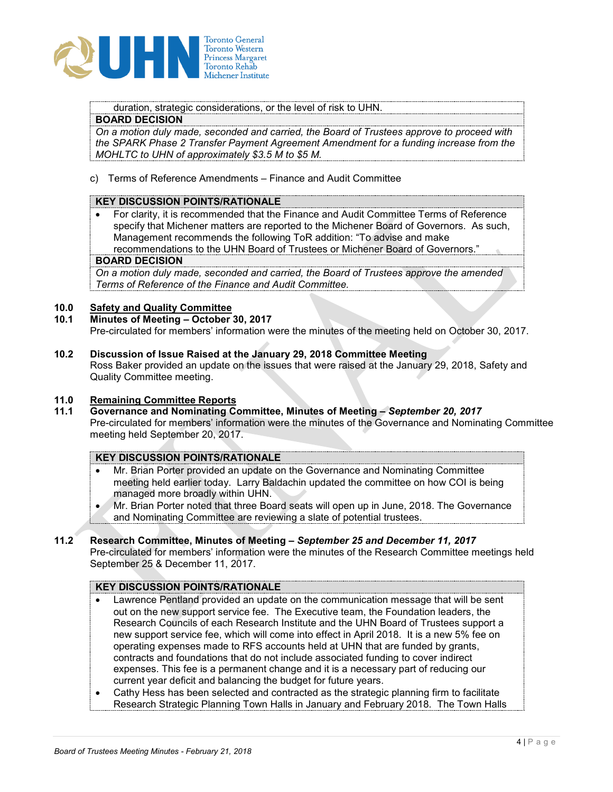

duration, strategic considerations, or the level of risk to UHN.

# **BOARD DECISION**

*On a motion duly made, seconded and carried, the Board of Trustees approve to proceed with the SPARK Phase 2 Transfer Payment Agreement Amendment for a funding increase from the MOHLTC to UHN of approximately \$3.5 M to \$5 M.*

c) Terms of Reference Amendments – Finance and Audit Committee

# **KEY DISCUSSION POINTS/RATIONALE**

• For clarity, it is recommended that the Finance and Audit Committee Terms of Reference specify that Michener matters are reported to the Michener Board of Governors. As such, Management recommends the following ToR addition: "To advise and make recommendations to the UHN Board of Trustees or Michener Board of Governors."

#### **BOARD DECISION**

*On a motion duly made, seconded and carried, the Board of Trustees approve the amended Terms of Reference of the Finance and Audit Committee.*

# **10.0 Safety and Quality Committee**

**10.1 Minutes of Meeting – October 30, 2017**

Pre-circulated for members' information were the minutes of the meeting held on October 30, 2017.

**10.2 Discussion of Issue Raised at the January 29, 2018 Committee Meeting** Ross Baker provided an update on the issues that were raised at the January 29, 2018, Safety and Quality Committee meeting.

# **11.0 Remaining Committee Reports**

**11.1 Governance and Nominating Committee, Minutes of Meeting –** *September 20, 2017* Pre-circulated for members' information were the minutes of the Governance and Nominating Committee meeting held September 20, 2017.

# **KEY DISCUSSION POINTS/RATIONALE**

- Mr. Brian Porter provided an update on the Governance and Nominating Committee meeting held earlier today. Larry Baldachin updated the committee on how COI is being managed more broadly within UHN.
- Mr. Brian Porter noted that three Board seats will open up in June, 2018. The Governance and Nominating Committee are reviewing a slate of potential trustees.
- **11.2 Research Committee, Minutes of Meeting –** *September 25 and December 11, 2017* Pre-circulated for members' information were the minutes of the Research Committee meetings held September 25 & December 11, 2017.

# **KEY DISCUSSION POINTS/RATIONALE**

- Lawrence Pentland provided an update on the communication message that will be sent out on the new support service fee. The Executive team, the Foundation leaders, the Research Councils of each Research Institute and the UHN Board of Trustees support a new support service fee, which will come into effect in April 2018. It is a new 5% fee on operating expenses made to RFS accounts held at UHN that are funded by grants, contracts and foundations that do not include associated funding to cover indirect expenses. This fee is a permanent change and it is a necessary part of reducing our current year deficit and balancing the budget for future years.
- Cathy Hess has been selected and contracted as the strategic planning firm to facilitate Research Strategic Planning Town Halls in January and February 2018. The Town Halls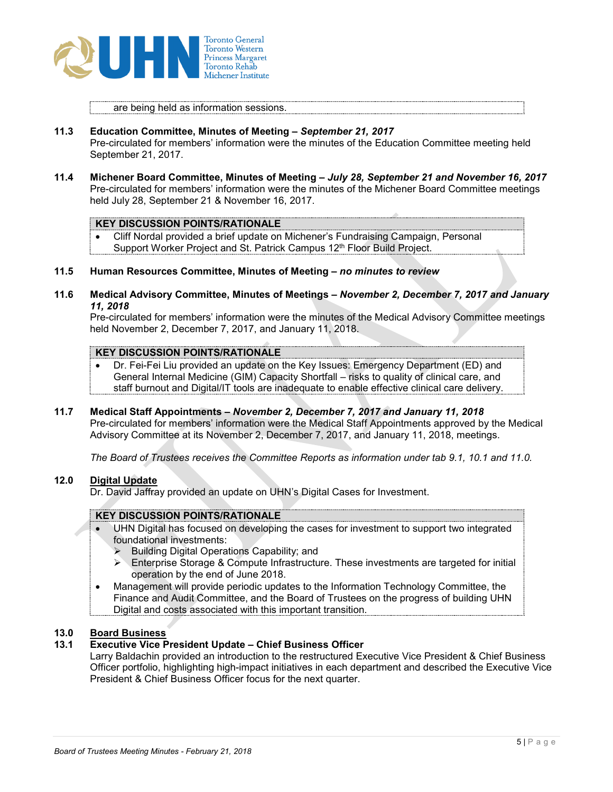

are being held as information sessions.

- **11.3 Education Committee, Minutes of Meeting –** *September 21, 2017* Pre-circulated for members' information were the minutes of the Education Committee meeting held September 21, 2017.
- **11.4 Michener Board Committee, Minutes of Meeting –** *July 28, September 21 and November 16, 2017* Pre-circulated for members' information were the minutes of the Michener Board Committee meetings held July 28, September 21 & November 16, 2017.

#### **KEY DISCUSSION POINTS/RATIONALE**

• Cliff Nordal provided a brief update on Michener's Fundraising Campaign, Personal Support Worker Project and St. Patrick Campus 12<sup>th</sup> Floor Build Project.

#### **11.5 Human Resources Committee, Minutes of Meeting –** *no minutes to review*

**11.6 Medical Advisory Committee, Minutes of Meetings –** *November 2, December 7, 2017 and January 11, 2018*

Pre-circulated for members' information were the minutes of the Medical Advisory Committee meetings held November 2, December 7, 2017, and January 11, 2018.

# **KEY DISCUSSION POINTS/RATIONALE**

- Dr. Fei-Fei Liu provided an update on the Key Issues: Emergency Department (ED) and General Internal Medicine (GIM) Capacity Shortfall – risks to quality of clinical care, and staff burnout and Digital/IT tools are inadequate to enable effective clinical care delivery.
- **11.7 Medical Staff Appointments –** *November 2, December 7, 2017 and January 11, 2018*

Pre-circulated for members' information were the Medical Staff Appointments approved by the Medical Advisory Committee at its November 2, December 7, 2017, and January 11, 2018, meetings.

*The Board of Trustees receives the Committee Reports as information under tab 9.1, 10.1 and 11.0.*

# **12.0 Digital Update**

Dr. David Jaffray provided an update on UHN's Digital Cases for Investment.

# **KEY DISCUSSION POINTS/RATIONALE**

- UHN Digital has focused on developing the cases for investment to support two integrated foundational investments:
	- Building Digital Operations Capability; and
	- $\triangleright$  Enterprise Storage & Compute Infrastructure. These investments are targeted for initial operation by the end of June 2018.
- Management will provide periodic updates to the Information Technology Committee, the Finance and Audit Committee, and the Board of Trustees on the progress of building UHN Digital and costs associated with this important transition.

# **13.0 Board Business**

# **13.1 Executive Vice President Update – Chief Business Officer**

Larry Baldachin provided an introduction to the restructured Executive Vice President & Chief Business Officer portfolio, highlighting high-impact initiatives in each department and described the Executive Vice President & Chief Business Officer focus for the next quarter.